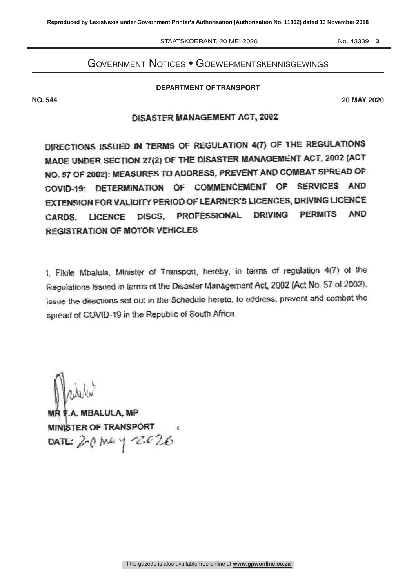STAATSKOERANT, 20 MEI 2020 No. 43339 3

# Government Notices • Goewermentskennisgewings

DEPARTMENT OF TRANSPORT **DEPARTMENT OF TRANSPORT**

**NO. 544 20 MAY 2020**

## **DISASTER MANAGEMENT ACT, 2002**

DIRECTIONS ISSUED IN TERMS OF REGULATION 4(7) OF THE REGULATIONS<br>
MADE UNDER SECTION 27(2) OF THE DISASTER MANAGEMENT ACT, 2002 (ACT<br>
NO. 57 OF 2002): MEASURES TO ADDRESS, PREVENT AND COMBAT SPREAD OF<br>
COVID-19: DETERMINAT

I, Fikile Mbalula, Minister of Transport, hereby, in terms of regulation 4(7) of the Regulations issued in terms of the Disaster Management Act, 2002 (Act No. 57 of 2002). issue the directions set out in the Schedule heret

MR F.A. MBALULA, MP<br>MINISTER OF TRANSPORT  $\frac{1}{2}$  and  $\frac{1}{2}$  and  $\frac{1}{2}$ DATE:  $20$  Mg  $\frac{9}{6}$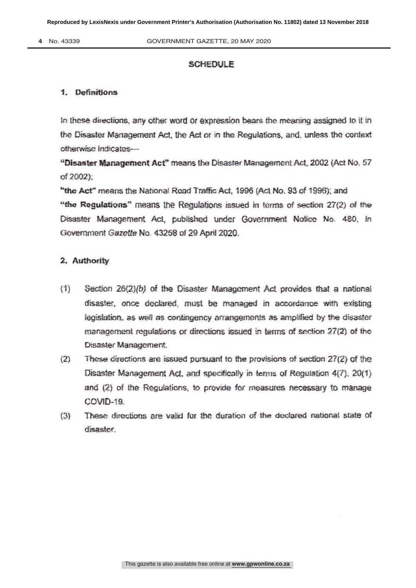4 No. 43339

#### **SCHEDULE**

#### 1. Definitions

In these directions, any other word or expression bears the meaning assigned to it in the Disaster Management Act, the Act or in the Regulations, and, unless the context otherwise indicates-

"Disaster Management Act" means the Disaster Management Act, 2002 (Act No. 57 of 2002):

"the Act" means the National Road Traffic Act, 1996 (Act No. 93 of 1996); and "the Regulations" means the Regulations issued in terms of section 27(2) of the Disaster Management Act. published under Government Notice No. 480, in Government Gazette No. 43258 of 29 April 2020.

## 2. Authority

- $(1)$ Section 26(2)(b) of the Disaster Management Act provides that a national disaster, once declared, must be managed in accordance with existing legislation, as well as contingency arrangements as amplified by the disaster management regulations or directions issued in terms of section 27(2) of the Disaster Management.
- $(2)$ These directions are issued pursuant to the provisions of section 27(2) of the Disaster Management Act, and specifically in terms of Regulation 4(7), 20(1) and (2) of the Regulations, to provide for measures necessary to manage COVID-19.
- These directions are valid for the duration of the declared national state of  $(3)$ disaster.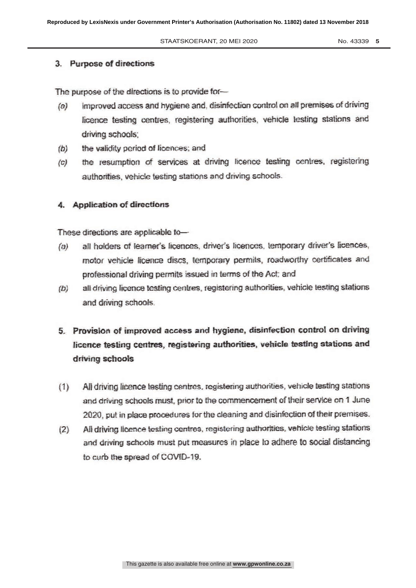No. 43339 5

#### 3. Purpose of directions

The purpose of the directions is to provide for-

- improved access and hygiene and, disinfection control on all premises of driving  $(a)$ licence testing centres, registering authorities, vehicle testing stations and driving schools:
- the validity period of licences; and  $(b)$
- the resumption of services at driving licence testing centres, registering  $(c)$ authorities, vehicle testing stations and driving schools.

## 4. Application of directions

These directions are applicable to-

- all holders of learner's licences, driver's licences, temporary driver's licences,  $(a)$ motor vehicle licence discs, temporary permits, roadworthy certificates and professional driving permits issued in terms of the Act; and
- all driving licence testing centres, registering authorities, vehicle testing stations  $(b)$ and driving schools.
- 5. Provision of improved access and hygiene, disinfection control on driving licence testing centres, registering authorities, vehicle testing stations and driving schools
- All driving licence testing centres, registering authorities, vehicle testing stations  $(1)$ and driving schools must, prior to the commencement of their service on 1 June 2020, put in place procedures for the cleaning and disinfection of their premises.
- All driving licence testing centres, registering authorities, vehicle testing stations  $(2)$ and driving schools must put measures in place to adhere to social distancing to curb the spread of COVID-19.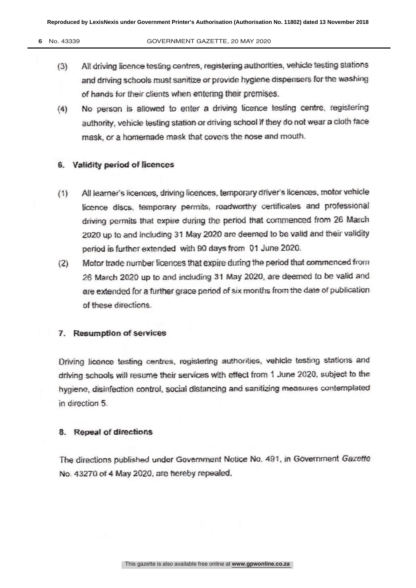- (3) All driving licence testing centres, registering authorities, vehicle testing stations<br>and driving schools must capitize or provide byginne dispensers for the washing and driving schools must samuze or provide hygiene dispensers for the washing.<br>of bande for their clients when entering their promises.
- of hands for their clients when entering their premises.<br>No person is allowed to enter a driving licence testing centre, registering (4) No person is allowed to enter a driving licence testing centre, registering<br>authority, vehicle testing station or driving school if they do not wear a cloth face authority, vehicle-testing station or driving school if they do not wear a cloth face. mask, or a homemade mask that covers the nose and modul.

## 6. Validity period of licences

- (1) All learner's licences, driving licences, temporary driver s licences, motor vehicle<br>Example disease temporary permits readmentby certificates, and professional licence discs, temporary permits, roadworthy certificates and professional driving permits that expite during the period that commenced from 26 March.<br>2020 up to and including 31 May 2020 are deemed to be valid and their validity.  $2020$  up to and iricluding 31 May 2020 are deemed to be valid and their validity period is further extended with 90 days from 01 June 2020.<br>Motor trade number licences that expire during the period that commenced from
- (2) Motor trade number licences that expire during the period that commenced from<br>26 March 2020 up to and including 31 May 2020, are deemed to be valid and 20 March 2020 up to and including 31 May 2020, are deemed to be valid and<br>are extended for a further grace naried of six months from the date of publication. are extended for a further grace period of six months from the date of publication.<br>of these directions.

#### 7. Resumption of services

Driving licence testing centres, registering authorities, vehicle testing stations and<br>driving schools will resume their services with effect from 1 June 2020, subject to the driving schools will resume their services with effect from 1 June 2020, subject to the<br>bygiene, disinfection control, social distancing and sanifizing measures contemplated hygiene, disinfection control, social distancing and sanitizing measures contemplated<br>in direction 5 in direction 5.

## 8. Repeal of directions

The directions published under Government Notice No. 491, in Government Gazette No. 43270 of 4 May 2020, are hereby repealed.